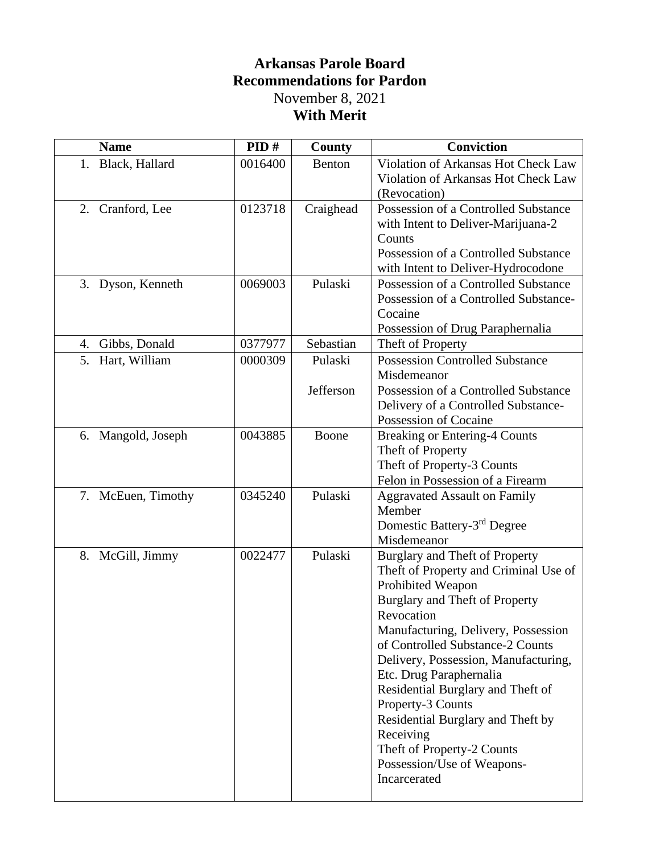## **Arkansas Parole Board Recommendations for Pardon** November 8, 2021 **With Merit**

| Black, Hallard<br>0016400<br>Benton<br>1.<br>(Revocation)<br>Possession of a Controlled Substance<br>0123718<br>Craighead<br>2. Cranford, Lee | <b>Name</b> | PID# | <b>County</b> | <b>Conviction</b>                     |
|-----------------------------------------------------------------------------------------------------------------------------------------------|-------------|------|---------------|---------------------------------------|
|                                                                                                                                               |             |      |               | Violation of Arkansas Hot Check Law   |
|                                                                                                                                               |             |      |               | Violation of Arkansas Hot Check Law   |
|                                                                                                                                               |             |      |               |                                       |
|                                                                                                                                               |             |      |               |                                       |
|                                                                                                                                               |             |      |               | with Intent to Deliver-Marijuana-2    |
| Counts                                                                                                                                        |             |      |               |                                       |
| Possession of a Controlled Substance                                                                                                          |             |      |               |                                       |
| with Intent to Deliver-Hydrocodone                                                                                                            |             |      |               |                                       |
| Pulaski<br>Possession of a Controlled Substance<br>0069003<br>3. Dyson, Kenneth                                                               |             |      |               |                                       |
|                                                                                                                                               |             |      |               | Possession of a Controlled Substance- |
| Cocaine                                                                                                                                       |             |      |               |                                       |
| Possession of Drug Paraphernalia                                                                                                              |             |      |               |                                       |
| Sebastian<br>0377977<br>Gibbs, Donald<br>Theft of Property<br>4.                                                                              |             |      |               |                                       |
| <b>Possession Controlled Substance</b><br>5. Hart, William<br>Pulaski<br>0000309                                                              |             |      |               |                                       |
| Misdemeanor                                                                                                                                   |             |      |               |                                       |
| Jefferson<br>Possession of a Controlled Substance                                                                                             |             |      |               |                                       |
| Delivery of a Controlled Substance-                                                                                                           |             |      |               |                                       |
| Possession of Cocaine                                                                                                                         |             |      |               |                                       |
| 0043885<br>Boone<br><b>Breaking or Entering-4 Counts</b><br>6. Mangold, Joseph                                                                |             |      |               |                                       |
| Theft of Property                                                                                                                             |             |      |               |                                       |
| Theft of Property-3 Counts                                                                                                                    |             |      |               |                                       |
| Felon in Possession of a Firearm                                                                                                              |             |      |               |                                       |
| Pulaski<br>7. McEuen, Timothy<br>0345240<br><b>Aggravated Assault on Family</b>                                                               |             |      |               |                                       |
| Member                                                                                                                                        |             |      |               |                                       |
| Domestic Battery-3 <sup>rd</sup> Degree                                                                                                       |             |      |               |                                       |
| Misdemeanor                                                                                                                                   |             |      |               |                                       |
| Pulaski<br>0022477<br>8. McGill, Jimmy<br>Burglary and Theft of Property                                                                      |             |      |               |                                       |
|                                                                                                                                               |             |      |               | Theft of Property and Criminal Use of |
| Prohibited Weapon                                                                                                                             |             |      |               |                                       |
| Burglary and Theft of Property                                                                                                                |             |      |               |                                       |
| Revocation                                                                                                                                    |             |      |               |                                       |
| Manufacturing, Delivery, Possession                                                                                                           |             |      |               |                                       |
| of Controlled Substance-2 Counts                                                                                                              |             |      |               |                                       |
| Delivery, Possession, Manufacturing,                                                                                                          |             |      |               |                                       |
| Etc. Drug Paraphernalia                                                                                                                       |             |      |               |                                       |
| Residential Burglary and Theft of                                                                                                             |             |      |               |                                       |
| Property-3 Counts                                                                                                                             |             |      |               |                                       |
| Residential Burglary and Theft by                                                                                                             |             |      |               |                                       |
| Receiving                                                                                                                                     |             |      |               |                                       |
| Theft of Property-2 Counts                                                                                                                    |             |      |               |                                       |
| Possession/Use of Weapons-                                                                                                                    |             |      |               |                                       |
| Incarcerated                                                                                                                                  |             |      |               |                                       |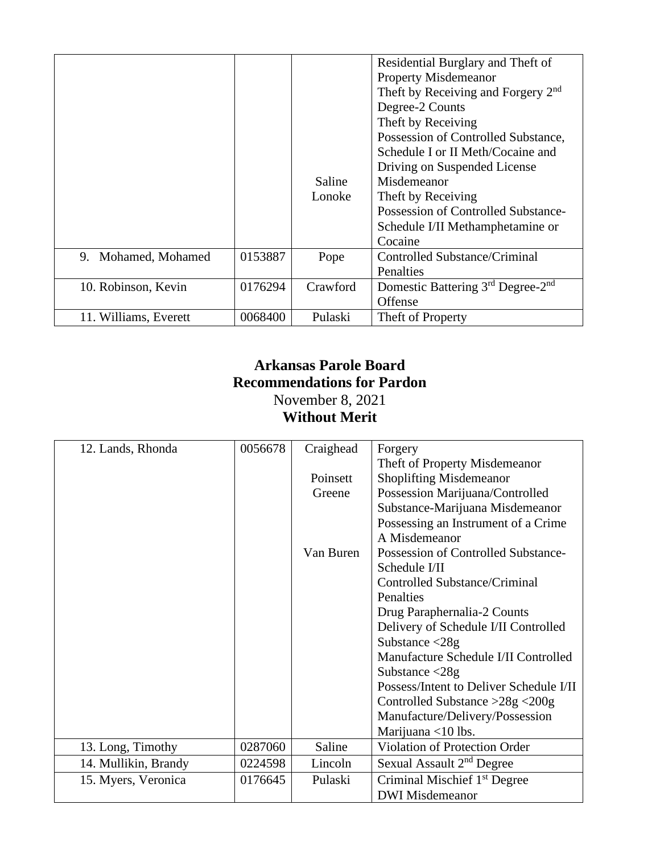|                       |         |          | Residential Burglary and Theft of              |
|-----------------------|---------|----------|------------------------------------------------|
|                       |         |          | <b>Property Misdemeanor</b>                    |
|                       |         |          | Theft by Receiving and Forgery 2 <sup>nd</sup> |
|                       |         |          | Degree-2 Counts                                |
|                       |         |          | Theft by Receiving                             |
|                       |         |          | Possession of Controlled Substance,            |
|                       |         |          | Schedule I or II Meth/Cocaine and              |
|                       |         |          | Driving on Suspended License                   |
|                       |         | Saline   | Misdemeanor                                    |
|                       |         | Lonoke   | Theft by Receiving                             |
|                       |         |          | Possession of Controlled Substance-            |
|                       |         |          | Schedule I/II Methamphetamine or               |
|                       |         |          | Cocaine                                        |
| 9. Mohamed, Mohamed   | 0153887 | Pope     | Controlled Substance/Criminal                  |
|                       |         |          | <b>Penalties</b>                               |
| 10. Robinson, Kevin   | 0176294 | Crawford | Domestic Battering 3rd Degree-2nd              |
|                       |         |          | Offense                                        |
| 11. Williams, Everett | 0068400 | Pulaski  | Theft of Property                              |

## **Arkansas Parole Board Recommendations for Pardon** November 8, 2021 **Without Merit**

| 12. Lands, Rhonda    | 0056678 | Craighead | Forgery                                  |
|----------------------|---------|-----------|------------------------------------------|
|                      |         |           | Theft of Property Misdemeanor            |
|                      |         | Poinsett  | <b>Shoplifting Misdemeanor</b>           |
|                      |         | Greene    | Possession Marijuana/Controlled          |
|                      |         |           | Substance-Marijuana Misdemeanor          |
|                      |         |           | Possessing an Instrument of a Crime      |
|                      |         |           | A Misdemeanor                            |
|                      |         | Van Buren | Possession of Controlled Substance-      |
|                      |         |           | Schedule I/II                            |
|                      |         |           | Controlled Substance/Criminal            |
|                      |         |           | Penalties                                |
|                      |         |           | Drug Paraphernalia-2 Counts              |
|                      |         |           | Delivery of Schedule I/II Controlled     |
|                      |         |           | Substance $\langle 28g \rangle$          |
|                      |         |           | Manufacture Schedule I/II Controlled     |
|                      |         |           | Substance $\langle 28g \rangle$          |
|                      |         |           | Possess/Intent to Deliver Schedule I/II  |
|                      |         |           | Controlled Substance $>28g < 200g$       |
|                      |         |           | Manufacture/Delivery/Possession          |
|                      |         |           | Marijuana <10 lbs.                       |
| 13. Long, Timothy    | 0287060 | Saline    | <b>Violation of Protection Order</b>     |
| 14. Mullikin, Brandy | 0224598 | Lincoln   | Sexual Assault 2 <sup>nd</sup> Degree    |
| 15. Myers, Veronica  | 0176645 | Pulaski   | Criminal Mischief 1 <sup>st</sup> Degree |
|                      |         |           | <b>DWI</b> Misdemeanor                   |